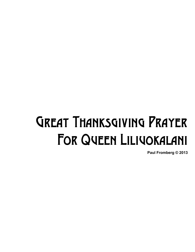## Great Thanksgiving Prayer For Queen Liliuokalani

**Paul Fromberg © 2013**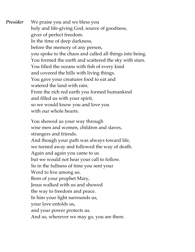*Presider* We praise you and we bless you holy and life-giving God, source of goodness, giver of perfect freedom. In the time of deep darkness, before the memory of any person, you spoke to the chaos and called all things into being. You formed the earth and scattered the sky with stars. You filled the oceans with fish of every kind and covered the hills with living things. You gave your creatures food to eat and watered the land with rain. From the rich red earth you formed humankind and filled us with your spirit, so we would know you and love you with our whole hearts.

You showed us your way through wise men and women, children and slaves, strangers and friends. And though your path was always toward life, we turned away and followed the way of death. Again and again you came to us but we would not hear your call to follow. So in the fullness of time you sent your Word to live among us. Born of your prophet Mary, Jesus walked with us and showed the way to freedom and peace. In him your light surrounds us, your love enfolds us, and your power protects us. And so, wherever we may go, you are there.